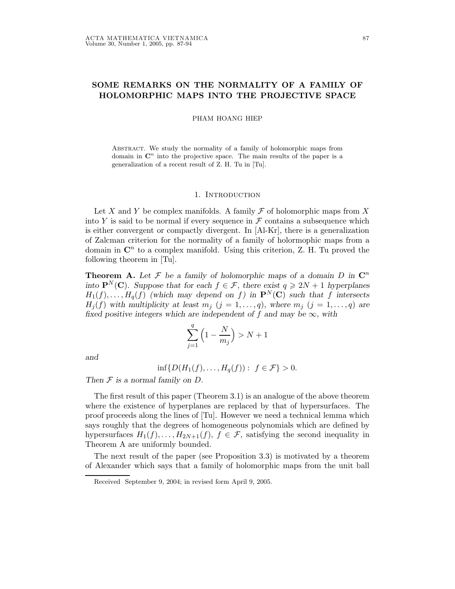# SOME REMARKS ON THE NORMALITY OF A FAMILY OF HOLOMORPHIC MAPS INTO THE PROJECTIVE SPACE

PHAM HOANG HIEP

Abstract. We study the normality of a family of holomorphic maps from domain in  $\mathbb{C}^n$  into the projective space. The main results of the paper is a generalization of a recent result of Z. H. Tu in [Tu].

#### 1. INTRODUCTION

Let X and Y be complex manifolds. A family  $\mathcal F$  of holomorphic maps from X into Y is said to be normal if every sequence in  $\mathcal F$  contains a subsequence which is either convergent or compactly divergent. In [Al-Kr], there is a generalization of Zalcman criterion for the normality of a family of holormophic maps from a domain in  $\mathbb{C}^n$  to a complex manifold. Using this criterion, Z. H. Tu proved the following theorem in [Tu].

**Theorem A.** Let F be a family of holomorphic maps of a domain D in  $\mathbb{C}^n$ into  $\mathbf{P}^N(\mathbf{C})$ . Suppose that for each  $f \in \mathcal{F}$ , there exist  $q \geq 2N+1$  hyperplanes  $H_1(f), \ldots, H_q(f)$  (which may depend on f) in  $\mathbf{P}^N(\mathbf{C})$  such that f intersects  $H_j(f)$  with multiplicity at least  $m_j$   $(j = 1, \ldots, q)$ , where  $m_j$   $(j = 1, \ldots, q)$  are fixed positive integers which are independent of f and may be  $\infty$ , with

$$
\sum_{j=1}^q \left(1-\frac{N}{m_j}\right)>N+1
$$

and

$$
\inf \{ D(H_1(f), \dots, H_q(f)) : f \in \mathcal{F} \} > 0.
$$

Then  $F$  is a normal family on  $D$ .

The first result of this paper (Theorem 3.1) is an analogue of the above theorem where the existence of hyperplanes are replaced by that of hypersurfaces. The proof proceeds along the lines of [Tu]. However we need a technical lemma which says roughly that the degrees of homogeneous polynomials which are defined by hypersurfaces  $H_1(f), \ldots, H_{2N+1}(f), f \in \mathcal{F}$ , satisfying the second inequality in Theorem A are uniformly bounded.

The next result of the paper (see Proposition 3.3) is motivated by a theorem of Alexander which says that a family of holomorphic maps from the unit ball

Received September 9, 2004; in revised form April 9, 2005.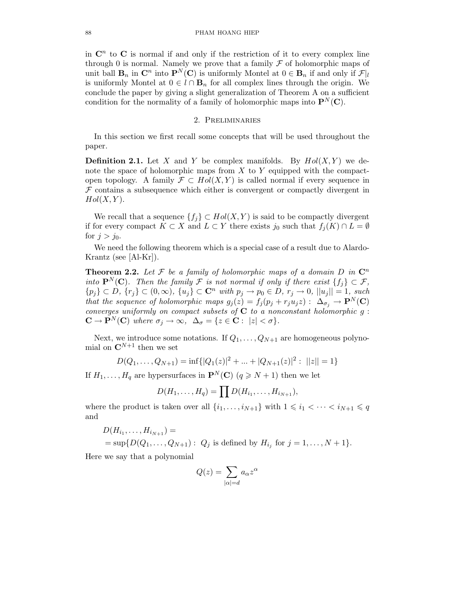in  $\mathbb{C}^n$  to  $\mathbb{C}$  is normal if and only if the restriction of it to every complex line through 0 is normal. Namely we prove that a family  $\mathcal F$  of holomorphic maps of unit ball  $\mathbf{B}_n$  in  $\mathbf{C}^n$  into  $\mathbf{P}^N(\mathbf{C})$  is uniformly Montel at  $0 \in \mathbf{B}_n$  if and only if  $\mathcal{F}|_l$ is uniformly Montel at  $0 \in l \cap \mathbf{B}_n$  for all complex lines through the origin. We conclude the paper by giving a slight generalization of Theorem A on a sufficient condition for the normality of a family of holomorphic maps into  $\mathbf{P}^{N}(\mathbf{C})$ .

# 2. Preliminaries

In this section we first recall some concepts that will be used throughout the paper.

**Definition 2.1.** Let X and Y be complex manifolds. By  $Hol(X, Y)$  we denote the space of holomorphic maps from  $X$  to  $Y$  equipped with the compactopen topology. A family  $\mathcal{F} \subset Hol(X, Y)$  is called normal if every sequence in  $F$  contains a subsequence which either is convergent or compactly divergent in  $Hol(X, Y)$ .

We recall that a sequence  $\{f_i\} \subset Hol(X, Y)$  is said to be compactly divergent if for every compact  $K \subset X$  and  $L \subset Y$  there exists j<sub>0</sub> such that  $f_i(K) \cap L = \emptyset$ for  $j > j_0$ .

We need the following theorem which is a special case of a result due to Alardo-Krantz (see [Al-Kr]).

**Theorem 2.2.** Let  $\mathcal F$  be a family of holomorphic maps of a domain  $D$  in  $\mathbb C^n$ into  $\mathbf{P}^{N}(\mathbf{C})$ . Then the family F is not normal if only if there exist  $\{f_i\} \subset \mathcal{F}$ ,  ${p_j\}\subset D, \{r_j\}\subset (0,\infty), \{u_j\}\subset \mathbb{C}^n$  with  $p_j\to p_0\in D, r_j\to 0, ||u_j||=1$ , such that the sequence of holomorphic maps  $g_j(z) = f_j(p_j + r_ju_jz) : \Delta_{\sigma_j} \to \mathbf{P}^N(\mathbf{C})$ converges uniformly on compact subsets of  $C$  to a nonconstant holomorphic  $g$ :  $\mathbf{C} \to \mathbf{P}^N(\mathbf{C})$  where  $\sigma_j \to \infty$ ,  $\Delta_{\sigma} = \{z \in \mathbf{C} : |z| < \sigma\}.$ 

Next, we introduce some notations. If  $Q_1, \ldots, Q_{N+1}$  are homogeneous polynomial on  $\mathbf{C}^{N+1}$  then we set

$$
D(Q_1, \ldots, Q_{N+1}) = \inf \{ |Q_1(z)|^2 + \ldots + |Q_{N+1}(z)|^2 : ||z|| = 1 \}
$$

If  $H_1, \ldots, H_q$  are hypersurfaces in  $\mathbf{P}^N(\mathbf{C})$   $(q \geq N+1)$  then we let

$$
D(H_1,\ldots,H_q)=\prod D(H_{i_1},\ldots,H_{i_{N+1}}),
$$

where the product is taken over all  $\{i_1, \ldots, i_{N+1}\}$  with  $1 \leq i_1 < \cdots < i_{N+1} \leq q$ and

$$
D(H_{i_1},...,H_{i_{N+1}}) =
$$
  
= sup{ $D(Q_1,...,Q_{N+1})$ :  $Q_j$  is defined by  $H_{i_j}$  for  $j = 1,..., N + 1$  }.

Here we say that a polynomial

$$
Q(z) = \sum_{|\alpha| = d} a_{\alpha} z^{\alpha}
$$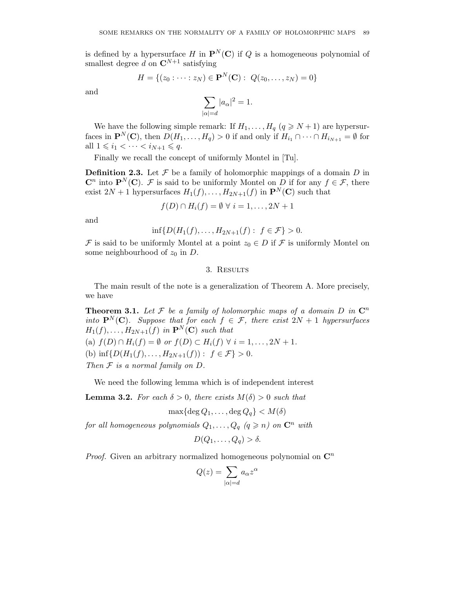is defined by a hypersurface H in  $\mathbf{P}^{N}(\mathbf{C})$  if Q is a homogeneous polynomial of smallest degree d on  $\mathbf{C}^{N+1}$  satisfying

$$
H = \{(z_0 : \dots : z_N) \in \mathbf{P}^N(\mathbf{C}) : \ Q(z_0, \dots, z_N) = 0\}
$$

and

$$
\sum_{|\alpha|=d} |a_{\alpha}|^2 = 1.
$$

We have the following simple remark: If  $H_1, \ldots, H_q$   $(q \geq N+1)$  are hypersurfaces in  $\mathbf{P}^{N}(\mathbf{C})$ , then  $D(H_1, \ldots, H_q) > 0$  if and only if  $H_{i_1} \cap \cdots \cap H_{i_{N+1}} = \emptyset$  for all  $1 \leq i_1 < \cdots < i_{N+1} \leq q$ .

Finally we recall the concept of uniformly Montel in [Tu].

**Definition 2.3.** Let  $\mathcal F$  be a family of holomorphic mappings of a domain  $D$  in  $\mathbb{C}^n$  into  $\mathbb{P}^N(\mathbb{C})$ . F is said to be uniformly Montel on D if for any  $f \in \mathcal{F}$ , there exist  $2N + 1$  hypersurfaces  $H_1(f), \ldots, H_{2N+1}(f)$  in  $\mathbf{P}^N(\mathbf{C})$  such that

 $f(D) \cap H_i(f) = \emptyset \ \forall \ i = 1, \ldots, 2N + 1$ 

and

$$
\inf \{ D(H_1(f), \ldots, H_{2N+1}(f) : f \in \mathcal{F} \} > 0.
$$

F is said to be uniformly Montel at a point  $z_0 \in D$  if F is uniformly Montel on some neighbourhood of  $z_0$  in D.

## 3. Results

The main result of the note is a generalization of Theorem A. More precisely, we have

**Theorem 3.1.** Let  $\mathcal F$  be a family of holomorphic maps of a domain D in  $\mathbb C^n$ into  $\mathbf{P}^{N}(\mathbf{C})$ . Suppose that for each  $f \in \mathcal{F}$ , there exist  $2N + 1$  hypersurfaces  $H_1(f), \ldots, H_{2N+1}(f)$  in  $\mathbf{P}^N(\mathbf{C})$  such that (a)  $f(D) \cap H_i(f) = \emptyset$  or  $f(D) \subset H_i(f) \ \forall \ i = 1, ..., 2N + 1$ . (b)  $\inf \{D(H_1(f), \ldots, H_{2N+1}(f)) : f \in \mathcal{F}\} > 0.$ Then  $F$  is a normal family on  $D$ .

We need the following lemma which is of independent interest

**Lemma 3.2.** For each  $\delta > 0$ , there exists  $M(\delta) > 0$  such that

 $\max\{\deg Q_1,\ldots,\deg Q_q\}$  <  $M(\delta)$ 

for all homogeneous polynomials  $Q_1, \ldots, Q_q$   $(q \geq n)$  on  $\mathbb{C}^n$  with

$$
D(Q_1,\ldots,Q_q) > \delta.
$$

*Proof.* Given an arbitrary normalized homogeneous polynomial on  $\mathbb{C}^n$ 

$$
Q(z) = \sum_{|\alpha|=d} a_{\alpha} z^{\alpha}
$$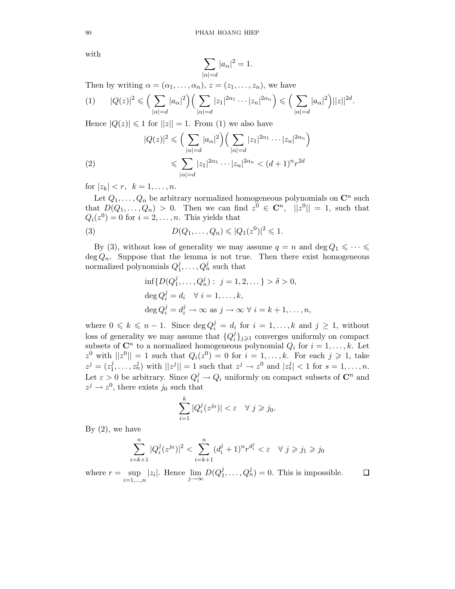with

$$
\sum_{|\alpha|=d}|a_\alpha|^2=1.
$$

Then by writing  $\alpha = (\alpha_1, \ldots, \alpha_n), z = (z_1, \ldots, z_n)$ , we have

$$
(1) \qquad |Q(z)|^2 \leqslant \Big(\sum_{|\alpha|=d} |a_{\alpha}|^2\Big) \Big(\sum_{|\alpha|=d} |z_1|^{2\alpha_1} \cdots |z_n|^{2\alpha_n}\Big) \leqslant \Big(\sum_{|\alpha|=d} |a_{\alpha}|^2\Big) ||z||^{2d}.
$$

Hence  $|Q(z)| \leq 1$  for  $||z|| = 1$ . From (1) we also have

(2)  
\n
$$
|Q(z)|^2 \leqslant \left(\sum_{|\alpha|=d} |a_{\alpha}|^2\right) \left(\sum_{|\alpha|=d} |z_1|^{2\alpha_1} \cdots |z_n|^{2\alpha_n}\right)
$$
\n
$$
\leqslant \sum_{|\alpha|=d} |z_1|^{2\alpha_1} \cdots |z_n|^{2\alpha_n} < (d+1)^n r^{2d}
$$

for  $|z_k| < r$ ,  $k = 1, ..., n$ .

Let  $Q_1, \ldots, Q_n$  be arbitrary normalized homogeneous polynomials on  $\mathbb{C}^n$  such that  $D(Q_1,\ldots,Q_n) > 0$ . Then we can find  $z^0 \in \mathbb{C}^n$ ,  $||z^0|| = 1$ , such that  $Q_i(z^0) = 0$  for  $i = 2, ..., n$ . This yields that

(3) 
$$
D(Q_1, ..., Q_n) \leq |Q_1(z^0)|^2 \leq 1.
$$

By (3), without loss of generality we may assume  $q = n$  and  $\deg Q_1 \leq \cdots \leq$  $\deg Q_n$ . Suppose that the lemma is not true. Then there exist homogeneous normalized polynomials  $Q_1^j$  $i_1, \ldots, Q_n^j$  such that

$$
\inf \{ D(Q_1^j, \dots, Q_n^j) : j = 1, 2, \dots \} > \delta > 0,
$$
  

$$
\deg Q_i^j = d_i \quad \forall \ i = 1, \dots, k,
$$
  

$$
\deg Q_i^j = d_i^j \to \infty \text{ as } j \to \infty \ \forall \ i = k+1, \dots, n,
$$

where  $0 \leq k \leq n-1$ . Since  $\deg Q_i^j = d_i$  for  $i = 1, ..., k$  and  $j \geq 1$ , without loss of generality we may assume that  $\{Q_i^j\}$  $\{j\}_{j\geqslant 1}$  converges uniformly on compact subsets of  $\mathbb{C}^n$  to a normalized homogeneous polynomial  $Q_i$  for  $i = 1, \ldots, k$ . Let  $z^0$  with  $||z^0|| = 1$  such that  $Q_i(z^0) = 0$  for  $i = 1, ..., k$ . For each  $j \geq 1$ , take  $z^j = (z_1^j)$  $|j_1, ..., z_n^j|$  with  $||z^j|| = 1$  such that  $z^j \to z^0$  and  $|z_s^j| < 1$  for  $s = 1, ..., n$ . Let  $\varepsilon > 0$  be arbitrary. Since  $Q_i^j \to Q_i$  uniformly on compact subsets of  $\mathbb{C}^n$  and  $z^j \to z^0$ , there exists  $j_0$  such that

$$
\sum_{i=1}^k |Q_i^j(z^{j_0})| < \varepsilon \quad \forall \ j \geq j_0.
$$

By  $(2)$ , we have

$$
\sum_{i=k+1}^{n} |Q_i^j(z^{j_0})|^2 < \sum_{i=k+1}^{n} (d_i^j + 1)^n r^{d_i^j} < \varepsilon \quad \forall \ j \geq j_1 \geq j_0
$$

 $\sup_{i=1,\dots,n} |z_i|$ . Hence  $\lim_{j\to\infty} D(Q_1^j)$  $j_1, \ldots, Q_n^j$  = 0. This is impossible.  $\Box$ where  $r = \sup$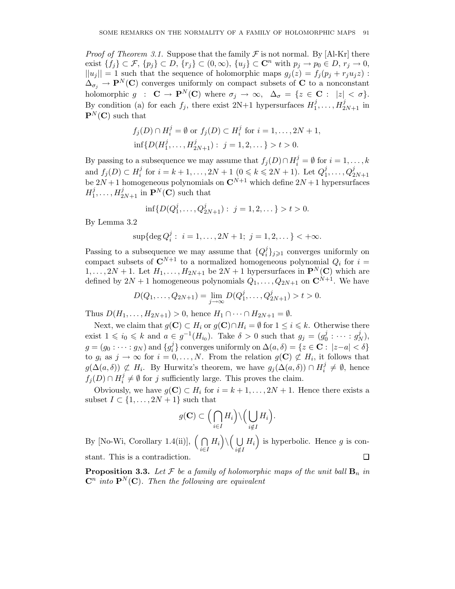*Proof of Theorem 3.1.* Suppose that the family  $\mathcal F$  is not normal. By [Al-Kr] there exist  $\{f_i\} \subset \mathcal{F}, \{p_i\} \subset D, \{r_i\} \subset (0,\infty), \{u_j\} \subset \mathbb{C}^n$  with  $p_j \to p_0 \in D, r_j \to 0$ ,  $||u_j|| = 1$  such that the sequence of holomorphic maps  $g_j(z) = f_j(p_j + r_j u_j z)$ :  $\Delta_{\sigma_i} \to \mathbf{P}^N(\mathbf{C})$  converges uniformly on compact subsets of C to a nonconstant holomorphic  $g : \mathbf{C} \to \mathbf{P}^N(\mathbf{C})$  where  $\sigma_j \to \infty$ ,  $\Delta_{\sigma} = \{z \in \mathbf{C} : |z| < \sigma\}.$ By condition (a) for each  $f_j$ , there exist  $2N+1$  hypersurfaces  $H_1^j$  $i_1^j, \ldots, H_{2N+1}^j$  in  ${\bf P}^N({\bf C})$  such that

$$
f_j(D) \cap H_i^j = \emptyset \text{ or } f_j(D) \subset H_i^j \text{ for } i = 1, ..., 2N + 1,
$$
  
inf{ $D(H_1^j, ..., H_{2N+1}^j)$ :  $j = 1, 2, ...$ } > t > 0.

By passing to a subsequence we may assume that  $f_j(D) \cap H_i^j = \emptyset$  for  $i = 1, ..., k$ and  $f_j(D) \subset H_i^j$  $i_i^j$  for  $i = k + 1, ..., 2N + 1$   $(0 \le k \le 2N + 1)$ . Let  $Q_1^j$ and  $f_j(D) \subset H_i^j$  for  $i = k + 1, ..., 2N + 1$   $(0 \le k \le 2N + 1)$ . Let  $Q_1^j, ..., Q_{2N+1}^j$ <br>be  $2N+1$  homogeneous polynomials on  $\mathbb{C}^{N+1}$  which define  $2N+1$  hypersurfaces  $H_1^j$  $i_1^j, \ldots, H_{2N+1}^j$  in  $\mathbf{P}^N(\mathbf{C})$  such that

$$
\inf\{D(Q_1^j,\ldots,Q_{2N+1}^j): j=1,2,\ldots\} > t > 0.
$$

By Lemma 3.2

$$
\sup\{\deg Q_i^j: i = 1, \dots, 2N + 1; j = 1, 2, \dots\} < +\infty.
$$

Passing to a subsequence we may assume that  $\{Q_i^j\}$  $\{G_i\}_{j\geqslant 1}$  converges uniformly on compact subsets of  $\mathbb{C}^{N+1}$  to a normalized homogeneous polynomial  $Q_i$  for  $i =$  $1, \ldots, 2N+1$ . Let  $H_1, \ldots, H_{2N+1}$  be  $2N+1$  hypersurfaces in  $\mathbf{P}^N(\mathbf{C})$  which are defined by  $2N + 1$  homogeneous polynomials  $Q_1, \ldots, Q_{2N+1}$  on  $\mathbb{C}^{N+1}$ . We have

$$
D(Q_1, ..., Q_{2N+1}) = \lim_{j \to \infty} D(Q_1^j, ..., Q_{2N+1}^j) > t > 0.
$$

Thus  $D(H_1, ..., H_{2N+1}) > 0$ , hence  $H_1 \cap ... \cap H_{2N+1} = \emptyset$ .

Next, we claim that  $g(\mathbf{C}) \subset H_i$  or  $g(\mathbf{C}) \cap H_i = \emptyset$  for  $1 \leq i \leq k$ . Otherwise there exist  $1 \leq i_0 \leq k$  and  $a \in g^{-1}(H_{i_0})$ . Take  $\delta > 0$  such that  $g_j = (g_0^j)$  $g_0^j : \cdots : g_N^j$  $_N^j),$  $g=(g_0:\cdots:g_N) \text{ and } \{g_i^j\}$  $\mathcal{L}_i^j$ } converges uniformly on  $\Delta(a, \delta) = \{z \in \mathbf{C} : |z - a| < \delta\}$ to  $g_i$  as  $j \to \infty$  for  $i = 0, \ldots, N$ . From the relation  $g(\mathbf{C}) \not\subset H_i$ , it follows that  $g(\Delta(a, \delta)) \not\subset H_i$ . By Hurwitz's theorem, we have  $g_j(\Delta(a, \delta)) \cap H_i^j$  $i \neq \emptyset$ , hence  $f_j(D) \cap H_i^j$  $i \neq \emptyset$  for j sufficiently large. This proves the claim.

Obviously, we have  $g(\mathbf{C}) \subset H_i$  for  $i = k + 1, ..., 2N + 1$ . Hence there exists a subset  $I \subset \{1, \ldots, 2N+1\}$  such that

$$
g(\mathbf{C}) \subset \Big(\bigcap_{i\in I} H_i\Big) \setminus \Big(\bigcup_{i\notin I} H_i\Big).
$$

By [No-Wi, Corollary 1.4(ii)],  $\left(\bigcap$  $\ket{H_i} \backslash \Big( \ \bigcup$  $H_i$ ) is hyperbolic. Hence g is coni∈I  $i \notin I$  $\Box$ stant. This is a contradiction.

**Proposition 3.3.** Let  $\mathcal F$  be a family of holomorphic maps of the unit ball  $\mathbf{B}_n$  in  $\mathbf{C}^n$  into  $\mathbf{P}^N(\mathbf{C})$ . Then the following are equivalent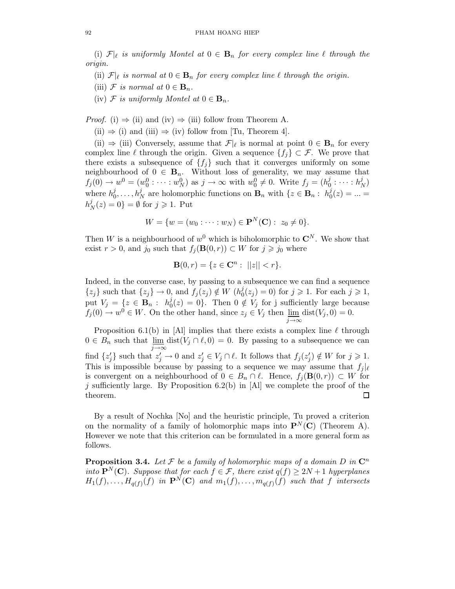(i)  $\mathcal{F}|_{\ell}$  is uniformly Montel at  $0 \in \mathbf{B}_n$  for every complex line  $\ell$  through the origin.

- (ii)  $\mathcal{F}|_{\ell}$  is normal at  $0 \in \mathbf{B}_n$  for every complex line  $\ell$  through the origin.
- (iii) F is normal at  $0 \in \mathbf{B}_n$ .
- (iv)  $\mathcal F$  is uniformly Montel at  $0 \in \mathbf{B}_n$ .

*Proof.* (i)  $\Rightarrow$  (ii) and (iv)  $\Rightarrow$  (iii) follow from Theorem A.

(ii)  $\Rightarrow$  (i) and (iii)  $\Rightarrow$  (iv) follow from [Tu, Theorem 4].

(ii)  $\Rightarrow$  (iii) Conversely, assume that  $\mathcal{F}|\ell$  is normal at point  $0 \in \mathbf{B}_n$  for every complex line  $\ell$  through the origin. Given a sequence  ${f_i} \subset \mathcal{F}$ . We prove that there exists a subsequence of  $\{f_j\}$  such that it converges uniformly on some neighbourhood of  $0 \in \mathbf{B}_n$ . Without loss of generality, we may assume that  $f_j(0) \to w^0 = (w_0^0 : \cdots : w_N^0)$  as  $j \to \infty$  with  $w_0^0 \neq 0$ . Write  $f_j = (h_0^j)$  $\frac{j}{0}$  :  $\cdots$  :  $h_I^j$  $\binom{J}{N}$ where  $h_0^j$  $\mathbf{B}_0^j, \ldots, \mathbf{h}_N^j$  are holomorphic functions on  $\mathbf{B}_n$  with  $\{z \in \mathbf{B}_n : h_0^j\}$  $0_0^{\jmath}(z) = ... =$  $h^j_{\scriptscriptstyle I}$  $\mathcal{L}_N^{\jmath}(z) = 0$  =  $\emptyset$  for  $j \geqslant 1$ . Put

$$
W = \{w = (w_0 : \dots : w_N) \in \mathbf{P}^N(\mathbf{C}) : z_0 \neq 0\}.
$$

Then W is a neighbourhood of  $w^0$  which is biholomorphic to  $\mathbb{C}^N$ . We show that exist  $r > 0$ , and j<sub>0</sub> such that  $f_j(\mathbf{B}(0,r)) \subset W$  for  $j \geq j_0$  where

$$
\mathbf{B}(0,r) = \{ z \in \mathbf{C}^n : ||z|| < r \}.
$$

Indeed, in the converse case, by passing to a subsequence we can find a sequence  $\{z_j\}$  such that  $\{z_j\} \to 0$ , and  $f_j(z_j) \notin W$  ( $h_0^j$  $j_0^j(z_j) = 0$  for  $j \geqslant 1$ . For each  $j \geqslant 1$ , put  $V_j = \{z \in \mathbf{B}_n : h_0^j\}$  $\mathcal{O}_0(z) = 0$ . Then  $0 \notin V_j$  for j sufficiently large because  $f_j(0) \to w^0 \in W$ . On the other hand, since  $z_j \in V_j$  then  $\lim_{j \to \infty} \text{dist}(V_j, 0) = 0$ .

Proposition 6.1(b) in [Al] implies that there exists a complex line  $\ell$  through  $0 \in B_n$  such that  $\lim_{j \to \infty} \text{dist}(V_j \cap \ell, 0) = 0$ . By passing to a subsequence we can find  $\{z'_j\}$  such that  $z'_j \to 0$  and  $z'_j \in V_j \cap \ell$ . It follows that  $f_j(z'_j) \notin W$  for  $j \geq 1$ . This is impossible because by passing to a sequence we may assume that  $f_i |_{\ell}$ is convergent on a neighbourhood of  $0 \in B_n \cap \ell$ . Hence,  $f_i(\mathbf{B}(0,r)) \subset W$  for j sufficiently large. By Proposition 6.2(b) in [Al] we complete the proof of the theorem.  $\Box$ 

By a result of Nochka [No] and the heuristic principle, Tu proved a criterion on the normality of a family of holomorphic maps into  $\mathbf{P}^{N}(\mathbf{C})$  (Theorem A). However we note that this criterion can be formulated in a more general form as follows.

**Proposition 3.4.** Let  $\mathcal F$  be a family of holomorphic maps of a domain D in  $\mathbb C^n$ into  $\mathbf{P}^{N}(\mathbf{C})$ . Suppose that for each  $f \in \mathcal{F}$ , there exist  $q(f) \geq 2N+1$  hyperplanes  $H_1(f), \ldots, H_{q(f)}(f)$  in  $\mathbf{P}^N(\mathbf{C})$  and  $m_1(f), \ldots, m_{q(f)}(f)$  such that f intersects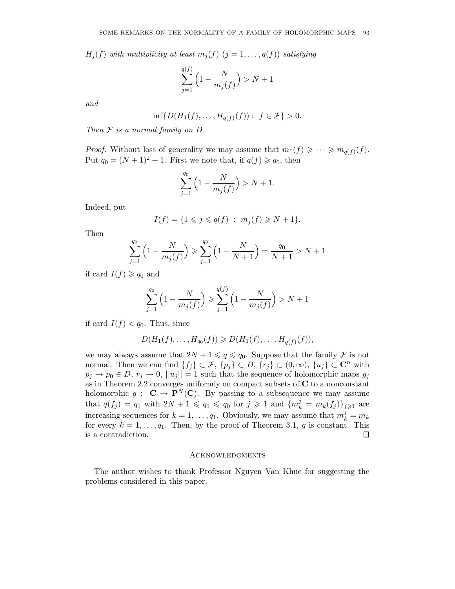$H_i(f)$  with multiplicity at least  $m_i(f)$   $(j = 1, \ldots, q(f))$  satisfying

$$
\sum_{j=1}^{q(f)} \left(1 - \frac{N}{m_j(f)}\right) > N+1
$$

and

$$
\inf\{D(H_1(f),\ldots,H_{q(f)}(f)):\ f\in\mathcal{F}\} > 0.
$$

Then  $F$  is a normal family on  $D$ .

*Proof.* Without loss of generality we may assume that  $m_1(f) \geqslant \cdots \geqslant m_{q(f)}(f)$ . Put  $q_0 = (N + 1)^2 + 1$ . First we note that, if  $q(f) \geq q_0$ , then

$$
\sum_{j=1}^{q_0} \left( 1 - \frac{N}{m_j(f)} \right) > N + 1.
$$

Indeed, put

$$
I(f) = \{ 1 \leq j \leq q(f) : m_j(f) \geq N + 1 \}.
$$

Then

$$
\sum_{j=1}^{q_0} \left( 1 - \frac{N}{m_j(f)} \right) \geqslant \sum_{j=1}^{q_0} \left( 1 - \frac{N}{N+1} \right) = \frac{q_0}{N+1} > N+1
$$

if card  $I(f) \geqslant q_0$  and

$$
\sum_{j=1}^{q_0} \left(1 - \frac{N}{m_j(f)}\right) \ge \sum_{j=1}^{q(f)} \left(1 - \frac{N}{m_j(f)}\right) > N+1
$$

if card  $I(f) < q_0$ . Thus, since

$$
D(H_1(f),...,H_{q_0}(f)) \geq D(H_1(f),...,H_{q(f)}(f)),
$$

we may always assume that  $2N + 1 \leq q \leq q_0$ . Suppose that the family  $\mathcal F$  is not normal. Then we can find  $\{f_j\} \subset \mathcal{F}, \{p_j\} \subset D, \{r_j\} \subset (0,\infty), \{u_j\} \subset \mathbb{C}^n$  with  $p_j \to p_0 \in D$ ,  $r_j \to 0$ ,  $||u_j|| = 1$  such that the sequence of holomorphic maps  $g_j$ as in Theorem 2.2 converges uniformly on compact subsets of  $C$  to a nonconstant holomorphic  $g: \mathbf{C} \to \mathbf{P}^N(\mathbf{C})$ . By passing to a subsequence we may assume that  $q(f_j) = q_1$  with  $2N + 1 \leqslant q_1 \leqslant q_0$  for  $j \geqslant 1$  and  $\{m_k^j = m_k(f_j)\}_{j \geqslant 1}$  are increasing sequences for  $k = 1, ..., q_1$ . Obviously, we may assume that  $m_k^j = m_k$ for every  $k = 1, \ldots, q_1$ . Then, by the proof of Theorem 3.1, g is constant. This is a contradiction.  $\Box$ 

### **ACKNOWLEDGMENTS**

The author wishes to thank Professor Nguyen Van Khue for suggesting the problems considered in this paper.